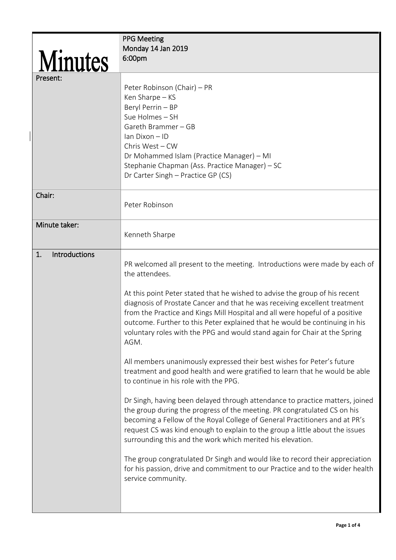|                     | <b>PPG Meeting</b>                                                            |
|---------------------|-------------------------------------------------------------------------------|
|                     | Monday 14 Jan 2019                                                            |
| <b>Minutes</b>      | 6:00pm                                                                        |
|                     |                                                                               |
| Present:            |                                                                               |
|                     | Peter Robinson (Chair) - PR                                                   |
|                     | Ken Sharpe - KS                                                               |
|                     | Beryl Perrin - BP                                                             |
|                     | Sue Holmes - SH                                                               |
|                     |                                                                               |
|                     | Gareth Brammer - GB                                                           |
|                     | Ian Dixon - ID                                                                |
|                     | Chris West - CW                                                               |
|                     | Dr Mohammed Islam (Practice Manager) - MI                                     |
|                     | Stephanie Chapman (Ass. Practice Manager) - SC                                |
|                     | Dr Carter Singh - Practice GP (CS)                                            |
|                     |                                                                               |
| Chair:              |                                                                               |
|                     | Peter Robinson                                                                |
|                     |                                                                               |
| Minute taker:       |                                                                               |
|                     | Kenneth Sharpe                                                                |
|                     |                                                                               |
| Introductions<br>1. |                                                                               |
|                     | PR welcomed all present to the meeting. Introductions were made by each of    |
|                     | the attendees.                                                                |
|                     |                                                                               |
|                     | At this point Peter stated that he wished to advise the group of his recent   |
|                     | diagnosis of Prostate Cancer and that he was receiving excellent treatment    |
|                     | from the Practice and Kings Mill Hospital and all were hopeful of a positive  |
|                     | outcome. Further to this Peter explained that he would be continuing in his   |
|                     | voluntary roles with the PPG and would stand again for Chair at the Spring    |
|                     | AGM.                                                                          |
|                     |                                                                               |
|                     | All members unanimously expressed their best wishes for Peter's future        |
|                     | treatment and good health and were gratified to learn that he would be able   |
|                     | to continue in his role with the PPG.                                         |
|                     |                                                                               |
|                     | Dr Singh, having been delayed through attendance to practice matters, joined  |
|                     | the group during the progress of the meeting. PR congratulated CS on his      |
|                     | becoming a Fellow of the Royal College of General Practitioners and at PR's   |
|                     | request CS was kind enough to explain to the group a little about the issues  |
|                     | surrounding this and the work which merited his elevation.                    |
|                     |                                                                               |
|                     | The group congratulated Dr Singh and would like to record their appreciation  |
|                     | for his passion, drive and commitment to our Practice and to the wider health |
|                     | service community.                                                            |
|                     |                                                                               |
|                     |                                                                               |
|                     |                                                                               |

 $\overline{\phantom{a}}$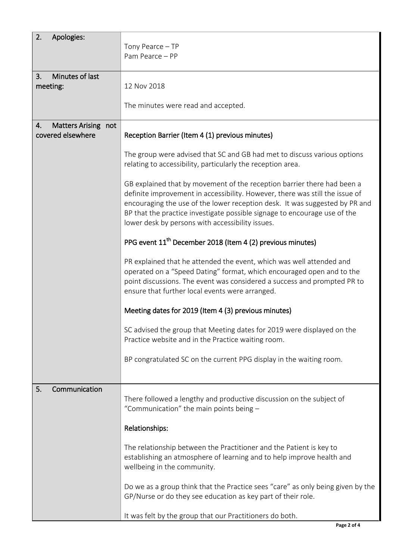| 2.<br>Apologies:          |                                                                                 |
|---------------------------|---------------------------------------------------------------------------------|
|                           | Tony Pearce - TP                                                                |
|                           | Pam Pearce - PP                                                                 |
|                           |                                                                                 |
| Minutes of last<br>3.     |                                                                                 |
| meeting:                  | 12 Nov 2018                                                                     |
|                           |                                                                                 |
|                           | The minutes were read and accepted.                                             |
|                           |                                                                                 |
| Matters Arising not<br>4. |                                                                                 |
| covered elsewhere         | Reception Barrier (Item 4 (1) previous minutes)                                 |
|                           |                                                                                 |
|                           | The group were advised that SC and GB had met to discuss various options        |
|                           | relating to accessibility, particularly the reception area.                     |
|                           |                                                                                 |
|                           | GB explained that by movement of the reception barrier there had been a         |
|                           | definite improvement in accessibility. However, there was still the issue of    |
|                           | encouraging the use of the lower reception desk. It was suggested by PR and     |
|                           | BP that the practice investigate possible signage to encourage use of the       |
|                           | lower desk by persons with accessibility issues.                                |
|                           |                                                                                 |
|                           | PPG event 11 <sup>th</sup> December 2018 (Item 4 (2) previous minutes)          |
|                           |                                                                                 |
|                           | PR explained that he attended the event, which was well attended and            |
|                           | operated on a "Speed Dating" format, which encouraged open and to the           |
|                           | point discussions. The event was considered a success and prompted PR to        |
|                           | ensure that further local events were arranged.                                 |
|                           |                                                                                 |
|                           | Meeting dates for 2019 (Item 4 (3) previous minutes)                            |
|                           |                                                                                 |
|                           | SC advised the group that Meeting dates for 2019 were displayed on the          |
|                           | Practice website and in the Practice waiting room.                              |
|                           |                                                                                 |
|                           | BP congratulated SC on the current PPG display in the waiting room.             |
|                           |                                                                                 |
|                           |                                                                                 |
| Communication<br>5.       |                                                                                 |
|                           | There followed a lengthy and productive discussion on the subject of            |
|                           | "Communication" the main points being -                                         |
|                           |                                                                                 |
|                           | Relationships:                                                                  |
|                           |                                                                                 |
|                           | The relationship between the Practitioner and the Patient is key to             |
|                           | establishing an atmosphere of learning and to help improve health and           |
|                           | wellbeing in the community.                                                     |
|                           | Do we as a group think that the Practice sees "care" as only being given by the |
|                           |                                                                                 |
|                           |                                                                                 |
|                           | GP/Nurse or do they see education as key part of their role.                    |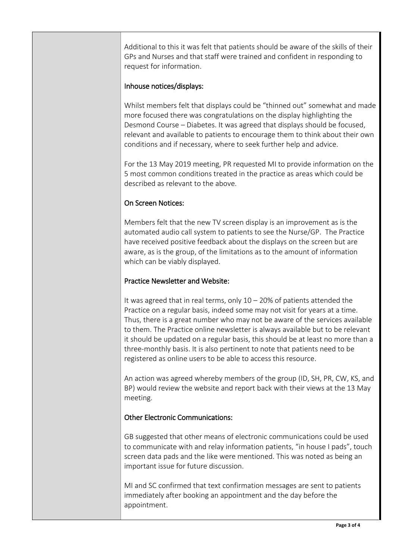Additional to this it was felt that patients should be aware of the skills of their GPs and Nurses and that staff were trained and confident in responding to request for information.

## Inhouse notices/displays:

Whilst members felt that displays could be "thinned out" somewhat and made more focused there was congratulations on the display highlighting the Desmond Course – Diabetes. It was agreed that displays should be focused, relevant and available to patients to encourage them to think about their own conditions and if necessary, where to seek further help and advice.

For the 13 May 2019 meeting, PR requested MI to provide information on the 5 most common conditions treated in the practice as areas which could be described as relevant to the above.

## On Screen Notices:

Members felt that the new TV screen display is an improvement as is the automated audio call system to patients to see the Nurse/GP. The Practice have received positive feedback about the displays on the screen but are aware, as is the group, of the limitations as to the amount of information which can be viably displayed.

## Practice Newsletter and Website:

It was agreed that in real terms, only  $10 - 20\%$  of patients attended the Practice on a regular basis, indeed some may not visit for years at a time. Thus, there is a great number who may not be aware of the services available to them. The Practice online newsletter is always available but to be relevant it should be updated on a regular basis, this should be at least no more than a three-monthly basis. It is also pertinent to note that patients need to be registered as online users to be able to access this resource.

An action was agreed whereby members of the group (ID, SH, PR, CW, KS, and BP) would review the website and report back with their views at the 13 May meeting.

## Other Electronic Communications:

GB suggested that other means of electronic communications could be used to communicate with and relay information patients, "in house I pads", touch screen data pads and the like were mentioned. This was noted as being an important issue for future discussion.

MI and SC confirmed that text confirmation messages are sent to patients immediately after booking an appointment and the day before the appointment.